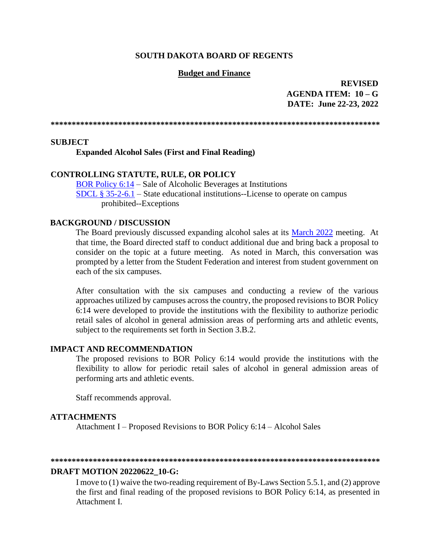### **SOUTH DAKOTA BOARD OF REGENTS**

### **Budget and Finance**

**REVISED AGENDA ITEM: 10 – G DATE: June 22-23, 2022**

**\*\*\*\*\*\*\*\*\*\*\*\*\*\*\*\*\*\*\*\*\*\*\*\*\*\*\*\*\*\*\*\*\*\*\*\*\*\*\*\*\*\*\*\*\*\*\*\*\*\*\*\*\*\*\*\*\*\*\*\*\*\*\*\*\*\*\*\*\*\*\*\*\*\*\*\*\*\*** 

### **SUBJECT**

**Expanded Alcohol Sales (First and Final Reading)**

### **CONTROLLING STATUTE, RULE, OR POLICY**

[BOR Policy 6:14](https://www.sdbor.edu/policy/Documents/6-14.pdf) – Sale of Alcoholic Beverages at Institutions [SDCL § 35-2-6.1](https://sdlegislature.gov/Statutes/Codified_Laws/2058829) – State educational institutions--License to operate on campus prohibited--Exceptions

#### **BACKGROUND / DISCUSSION**

The Board previously discussed expanding alcohol sales at its [March 2022](https://www.sdbor.edu/the-board/agendaitems/2014AgendaItems/2022%20Agenda%20Items/March2022/7_A_BOR0322.pdf) meeting. At that time, the Board directed staff to conduct additional due and bring back a proposal to consider on the topic at a future meeting. As noted in March, this conversation was prompted by a letter from the Student Federation and interest from student government on each of the six campuses.

After consultation with the six campuses and conducting a review of the various approaches utilized by campuses across the country, the proposed revisions to BOR Policy 6:14 were developed to provide the institutions with the flexibility to authorize periodic retail sales of alcohol in general admission areas of performing arts and athletic events, subject to the requirements set forth in Section 3.B.2.

### **IMPACT AND RECOMMENDATION**

The proposed revisions to BOR Policy 6:14 would provide the institutions with the flexibility to allow for periodic retail sales of alcohol in general admission areas of performing arts and athletic events.

Staff recommends approval.

#### **ATTACHMENTS**

Attachment I – Proposed Revisions to BOR Policy 6:14 – Alcohol Sales

#### **\*\*\*\*\*\*\*\*\*\*\*\*\*\*\*\*\*\*\*\*\*\*\*\*\*\*\*\*\*\*\*\*\*\*\*\*\*\*\*\*\*\*\*\*\*\*\*\*\*\*\*\*\*\*\*\*\*\*\*\*\*\*\*\*\*\*\*\*\*\*\*\*\*\*\*\*\*\***

### **DRAFT MOTION 20220622\_10-G:**

I move to (1) waive the two-reading requirement of By-Laws Section 5.5.1, and (2) approve the first and final reading of the proposed revisions to BOR Policy 6:14, as presented in Attachment I.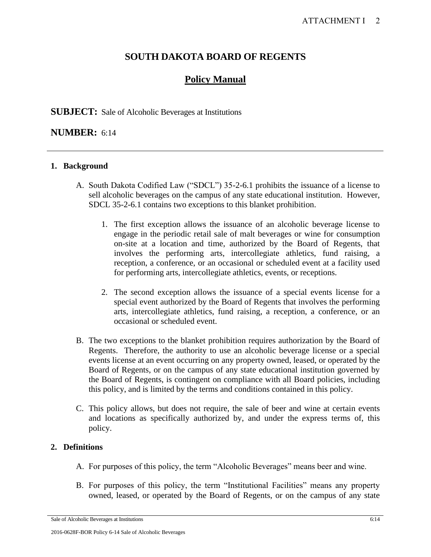## **SOUTH DAKOTA BOARD OF REGENTS**

# **Policy Manual**

## **SUBJECT:** Sale of Alcoholic Beverages at Institutions

## **NUMBER:** 6:14

## **1. Background**

- A. South Dakota Codified Law ("SDCL") 35-2-6.1 prohibits the issuance of a license to sell alcoholic beverages on the campus of any state educational institution. However, SDCL 35-2-6.1 contains two exceptions to this blanket prohibition.
	- 1. The first exception allows the issuance of an alcoholic beverage license to engage in the periodic retail sale of malt beverages or wine for consumption on-site at a location and time, authorized by the Board of Regents, that involves the performing arts, intercollegiate athletics, fund raising, a reception, a conference, or an occasional or scheduled event at a facility used for performing arts, intercollegiate athletics, events, or receptions.
	- 2. The second exception allows the issuance of a special events license for a special event authorized by the Board of Regents that involves the performing arts, intercollegiate athletics, fund raising, a reception, a conference, or an occasional or scheduled event.
- B. The two exceptions to the blanket prohibition requires authorization by the Board of Regents. Therefore, the authority to use an alcoholic beverage license or a special events license at an event occurring on any property owned, leased, or operated by the Board of Regents, or on the campus of any state educational institution governed by the Board of Regents, is contingent on compliance with all Board policies, including this policy, and is limited by the terms and conditions contained in this policy.
- C. This policy allows, but does not require, the sale of beer and wine at certain events and locations as specifically authorized by, and under the express terms of, this policy.

## **2. Definitions**

- A. For purposes of this policy, the term "Alcoholic Beverages" means beer and wine.
- B. For purposes of this policy, the term "Institutional Facilities" means any property owned, leased, or operated by the Board of Regents, or on the campus of any state

Sale of Alcoholic Beverages at Institutions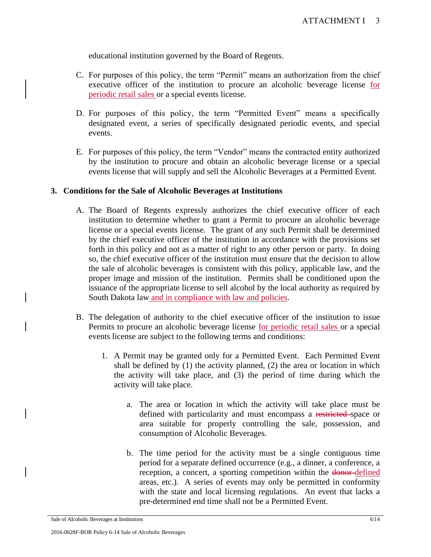educational institution governed by the Board of Regents.

- C. For purposes of this policy, the term "Permit" means an authorization from the chief executive officer of the institution to procure an alcoholic beverage license for periodic retail sales or a special events license.
- D. For purposes of this policy, the term "Permitted Event" means a specifically designated event, a series of specifically designated periodic events, and special events.
- E. For purposes of this policy, the term "Vendor" means the contracted entity authorized by the institution to procure and obtain an alcoholic beverage license or a special events license that will supply and sell the Alcoholic Beverages at a Permitted Event.

## **3. Conditions for the Sale of Alcoholic Beverages at Institutions**

- A. The Board of Regents expressly authorizes the chief executive officer of each institution to determine whether to grant a Permit to procure an alcoholic beverage license or a special events license. The grant of any such Permit shall be determined by the chief executive officer of the institution in accordance with the provisions set forth in this policy and not as a matter of right to any other person or party. In doing so, the chief executive officer of the institution must ensure that the decision to allow the sale of alcoholic beverages is consistent with this policy, applicable law, and the proper image and mission of the institution. Permits shall be conditioned upon the issuance of the appropriate license to sell alcohol by the local authority as required by South Dakota law and in compliance with law and policies.
- B. The delegation of authority to the chief executive officer of the institution to issue Permits to procure an alcoholic beverage license for periodic retail sales or a special events license are subject to the following terms and conditions:
	- 1. A Permit may be granted only for a Permitted Event. Each Permitted Event shall be defined by (1) the activity planned, (2) the area or location in which the activity will take place, and (3) the period of time during which the activity will take place.
		- a. The area or location in which the activity will take place must be defined with particularity and must encompass a restricted space or area suitable for properly controlling the sale, possession, and consumption of Alcoholic Beverages.
		- b. The time period for the activity must be a single contiguous time period for a separate defined occurrence (e.g., a dinner, a conference, a reception, a concert, a sporting competition within the donor-defined areas, etc.). A series of events may only be permitted in conformity with the state and local licensing regulations. An event that lacks a pre-determined end time shall not be a Permitted Event.

Sale of Alcoholic Beverages at Institutions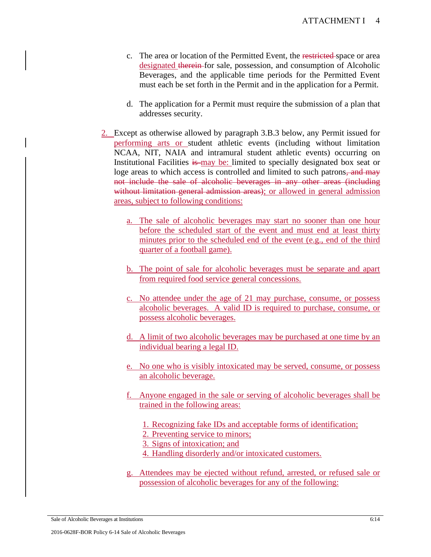- c. The area or location of the Permitted Event, the restricted space or area designated therein for sale, possession, and consumption of Alcoholic Beverages, and the applicable time periods for the Permitted Event must each be set forth in the Permit and in the application for a Permit.
- d. The application for a Permit must require the submission of a plan that addresses security.
- 2. Except as otherwise allowed by paragraph 3.B.3 below, any Permit issued for performing arts or student athletic events (including without limitation NCAA, NIT, NAIA and intramural student athletic events) occurring on Institutional Facilities is may be: limited to specially designated box seat or loge areas to which access is controlled and limited to such patrons, and may not include the sale of alcoholic beverages in any other areas (including without limitation general admission areas); or allowed in general admission areas, subject to following conditions:
	- a. The sale of alcoholic beverages may start no sooner than one hour before the scheduled start of the event and must end at least thirty minutes prior to the scheduled end of the event (e.g., end of the third quarter of a football game).
	- b. The point of sale for alcoholic beverages must be separate and apart from required food service general concessions.
	- c. No attendee under the age of 21 may purchase, consume, or possess alcoholic beverages. A valid ID is required to purchase, consume, or possess alcoholic beverages.
	- d. A limit of two alcoholic beverages may be purchased at one time by an individual bearing a legal ID.
	- e. No one who is visibly intoxicated may be served, consume, or possess an alcoholic beverage.
	- f. Anyone engaged in the sale or serving of alcoholic beverages shall be trained in the following areas:
		- 1. Recognizing fake IDs and acceptable forms of identification;
		- 2. Preventing service to minors;
		- 3. Signs of intoxication; and
		- 4. Handling disorderly and/or intoxicated customers.
	- g. Attendees may be ejected without refund, arrested, or refused sale or possession of alcoholic beverages for any of the following:

Sale of Alcoholic Beverages at Institutions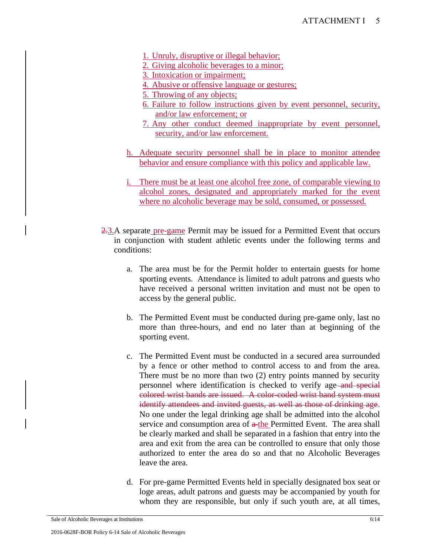- 1. Unruly, disruptive or illegal behavior;
- 2. Giving alcoholic beverages to a minor;
- 3. Intoxication or impairment;
- 4. Abusive or offensive language or gestures;
- 5. Throwing of any objects;
- 6. Failure to follow instructions given by event personnel, security, and/or law enforcement; or
- 7. Any other conduct deemed inappropriate by event personnel, security, and/or law enforcement.
- h. Adequate security personnel shall be in place to monitor attendee behavior and ensure compliance with this policy and applicable law.
- i. There must be at least one alcohol free zone, of comparable viewing to alcohol zones, designated and appropriately marked for the event where no alcoholic beverage may be sold, consumed, or possessed.
- 2.3.A separate pre-game Permit may be issued for a Permitted Event that occurs in conjunction with student athletic events under the following terms and conditions:
	- a. The area must be for the Permit holder to entertain guests for home sporting events. Attendance is limited to adult patrons and guests who have received a personal written invitation and must not be open to access by the general public.
	- b. The Permitted Event must be conducted during pre-game only, last no more than three-hours, and end no later than at beginning of the sporting event.
	- c. The Permitted Event must be conducted in a secured area surrounded by a fence or other method to control access to and from the area. There must be no more than two (2) entry points manned by security personnel where identification is checked to verify age-and special colored wrist bands are issued. A color-coded wrist band system must identify attendees and invited guests, as well as those of drinking age. No one under the legal drinking age shall be admitted into the alcohol service and consumption area of  $a$ -the Permitted Event. The area shall be clearly marked and shall be separated in a fashion that entry into the area and exit from the area can be controlled to ensure that only those authorized to enter the area do so and that no Alcoholic Beverages leave the area.
	- d. For pre-game Permitted Events held in specially designated box seat or loge areas, adult patrons and guests may be accompanied by youth for whom they are responsible, but only if such youth are, at all times,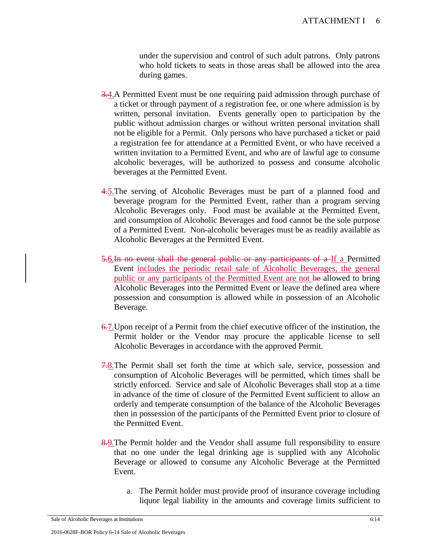under the supervision and control of such adult patrons. Only patrons who hold tickets to seats in those areas shall be allowed into the area during games.

- 3.4.A Permitted Event must be one requiring paid admission through purchase of a ticket or through payment of a registration fee, or one where admission is by written, personal invitation. Events generally open to participation by the public without admission charges or without written personal invitation shall not be eligible for a Permit. Only persons who have purchased a ticket or paid a registration fee for attendance at a Permitted Event, or who have received a written invitation to a Permitted Event, and who are of lawful age to consume alcoholic beverages, will be authorized to possess and consume alcoholic beverages at the Permitted Event.
- 4.5. The serving of Alcoholic Beverages must be part of a planned food and beverage program for the Permitted Event, rather than a program serving Alcoholic Beverages only. Food must be available at the Permitted Event, and consumption of Alcoholic Beverages and food cannot be the sole purpose of a Permitted Event. Non-alcoholic beverages must be as readily available as Alcoholic Beverages at the Permitted Event.
- 5.6.In no event shall the general public or any participants of a If a Permitted Event includes the periodic retail sale of Alcoholic Beverages, the general public or any participants of the Permitted Event are not be allowed to bring Alcoholic Beverages into the Permitted Event or leave the defined area where possession and consumption is allowed while in possession of an Alcoholic Beverage.
- 6.7.Upon receipt of a Permit from the chief executive officer of the institution, the Permit holder or the Vendor may procure the applicable license to sell Alcoholic Beverages in accordance with the approved Permit.
- 7.8.The Permit shall set forth the time at which sale, service, possession and consumption of Alcoholic Beverages will be permitted, which times shall be strictly enforced. Service and sale of Alcoholic Beverages shall stop at a time in advance of the time of closure of the Permitted Event sufficient to allow an orderly and temperate consumption of the balance of the Alcoholic Beverages then in possession of the participants of the Permitted Event prior to closure of the Permitted Event.
- 8.9. The Permit holder and the Vendor shall assume full responsibility to ensure that no one under the legal drinking age is supplied with any Alcoholic Beverage or allowed to consume any Alcoholic Beverage at the Permitted Event.
	- a. The Permit holder must provide proof of insurance coverage including liquor legal liability in the amounts and coverage limits sufficient to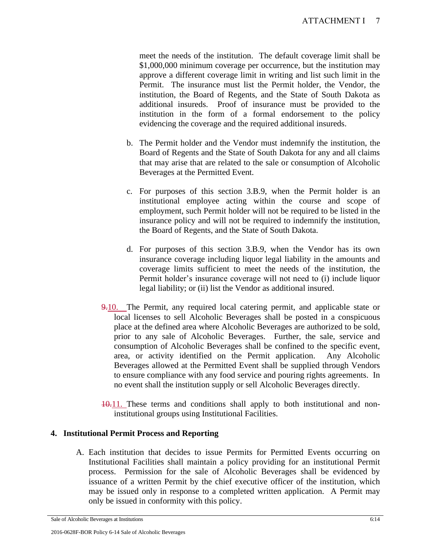meet the needs of the institution. The default coverage limit shall be \$1,000,000 minimum coverage per occurrence, but the institution may approve a different coverage limit in writing and list such limit in the Permit. The insurance must list the Permit holder, the Vendor, the institution, the Board of Regents, and the State of South Dakota as additional insureds. Proof of insurance must be provided to the institution in the form of a formal endorsement to the policy evidencing the coverage and the required additional insureds.

- b. The Permit holder and the Vendor must indemnify the institution, the Board of Regents and the State of South Dakota for any and all claims that may arise that are related to the sale or consumption of Alcoholic Beverages at the Permitted Event.
- c. For purposes of this section 3.B.9, when the Permit holder is an institutional employee acting within the course and scope of employment, such Permit holder will not be required to be listed in the insurance policy and will not be required to indemnify the institution, the Board of Regents, and the State of South Dakota.
- d. For purposes of this section 3.B.9, when the Vendor has its own insurance coverage including liquor legal liability in the amounts and coverage limits sufficient to meet the needs of the institution, the Permit holder's insurance coverage will not need to (i) include liquor legal liability; or (ii) list the Vendor as additional insured.
- 9.10. The Permit, any required local catering permit, and applicable state or local licenses to sell Alcoholic Beverages shall be posted in a conspicuous place at the defined area where Alcoholic Beverages are authorized to be sold, prior to any sale of Alcoholic Beverages. Further, the sale, service and consumption of Alcoholic Beverages shall be confined to the specific event, area, or activity identified on the Permit application. Any Alcoholic Beverages allowed at the Permitted Event shall be supplied through Vendors to ensure compliance with any food service and pouring rights agreements. In no event shall the institution supply or sell Alcoholic Beverages directly.
- 10.11. These terms and conditions shall apply to both institutional and noninstitutional groups using Institutional Facilities.

## **4. Institutional Permit Process and Reporting**

A. Each institution that decides to issue Permits for Permitted Events occurring on Institutional Facilities shall maintain a policy providing for an institutional Permit process. Permission for the sale of Alcoholic Beverages shall be evidenced by issuance of a written Permit by the chief executive officer of the institution, which may be issued only in response to a completed written application. A Permit may only be issued in conformity with this policy.

Sale of Alcoholic Beverages at Institutions